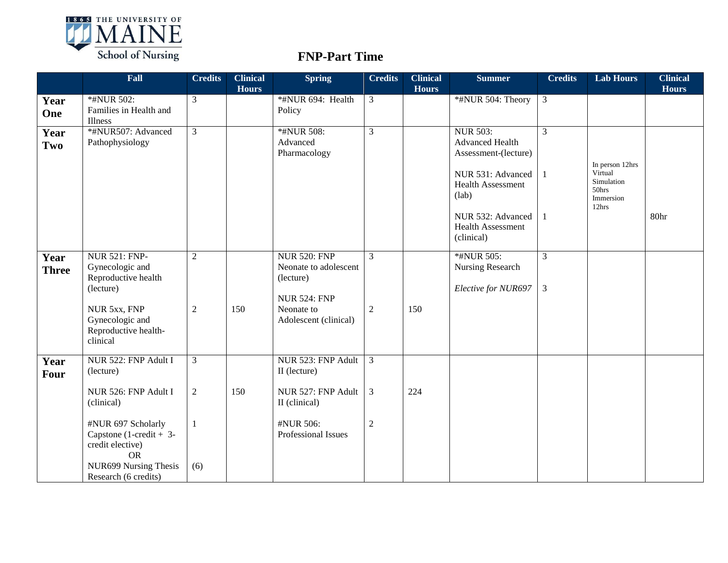

## **FNP-Part Time**

|                      | Fall                                                                                             | <b>Credits</b> | <b>Clinical</b><br><b>Hours</b> | <b>Spring</b>                                                                    | <b>Credits</b> | <b>Clinical</b><br><b>Hours</b> | <b>Summer</b>                                                                                                      | <b>Credits</b>                   | <b>Lab Hours</b>                         | <b>Clinical</b><br><b>Hours</b> |
|----------------------|--------------------------------------------------------------------------------------------------|----------------|---------------------------------|----------------------------------------------------------------------------------|----------------|---------------------------------|--------------------------------------------------------------------------------------------------------------------|----------------------------------|------------------------------------------|---------------------------------|
| Year<br>One          | *#NUR 502:<br>Families in Health and<br>Illness                                                  | $\mathfrak{Z}$ |                                 | *#NUR 694: Health<br>Policy                                                      | 3              |                                 | *#NUR 504: Theory                                                                                                  | $\mathfrak{Z}$                   |                                          |                                 |
| Year<br>Two          | *#NUR507: Advanced<br>Pathophysiology                                                            | $\overline{3}$ |                                 | *#NUR 508:<br>Advanced<br>Pharmacology                                           | $\overline{3}$ |                                 | <b>NUR 503:</b><br><b>Advanced Health</b><br>Assessment-(lecture)<br>NUR 531: Advanced<br><b>Health Assessment</b> | 3                                | In person 12hrs<br>Virtual<br>Simulation |                                 |
|                      |                                                                                                  |                |                                 |                                                                                  |                |                                 | (lab)<br>NUR 532: Advanced<br><b>Health Assessment</b><br>(clinical)                                               |                                  | 50hrs<br>Immersion<br>12hrs              | 80hr                            |
| Year<br><b>Three</b> | <b>NUR 521: FNP-</b><br>Gynecologic and<br>Reproductive health<br>(lecture)                      | 2              |                                 | <b>NUR 520: FNP</b><br>Neonate to adolescent<br>(lecture)<br><b>NUR 524: FNP</b> | $\overline{3}$ |                                 | *#NUR 505:<br>Nursing Research<br>Elective for NUR697                                                              | $\overline{3}$<br>$\mathfrak{Z}$ |                                          |                                 |
|                      | NUR 5xx, FNP<br>Gynecologic and<br>Reproductive health-<br>clinical                              | 2              | 150                             | Neonate to<br>Adolescent (clinical)                                              | $\overline{2}$ | 150                             |                                                                                                                    |                                  |                                          |                                 |
| Year<br>Four         | NUR 522: FNP Adult I<br>(lecture)                                                                | $\overline{3}$ |                                 | NUR 523: FNP Adult<br>II (lecture)                                               | $\overline{3}$ |                                 |                                                                                                                    |                                  |                                          |                                 |
|                      | NUR 526: FNP Adult I<br>(clinical)                                                               | 2              | 150                             | NUR 527: FNP Adult<br>II (clinical)                                              | 3              | 224                             |                                                                                                                    |                                  |                                          |                                 |
|                      | #NUR 697 Scholarly<br>Capstone $(1-\text{credit} + 3-\text{?})$<br>credit elective)<br><b>OR</b> | $\mathbf{1}$   |                                 | #NUR 506:<br>Professional Issues                                                 | $\overline{2}$ |                                 |                                                                                                                    |                                  |                                          |                                 |
|                      | NUR699 Nursing Thesis<br>Research (6 credits)                                                    | (6)            |                                 |                                                                                  |                |                                 |                                                                                                                    |                                  |                                          |                                 |